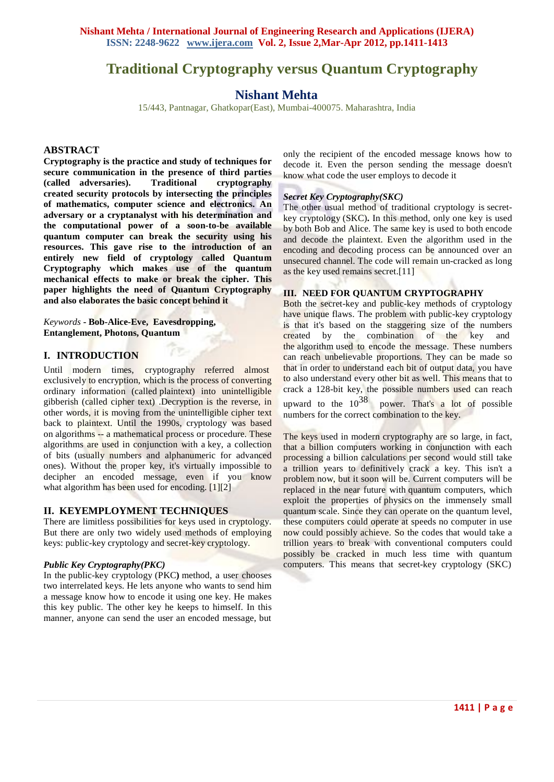# **Traditional Cryptography versus Quantum Cryptography**

## **Nishant Mehta**

15/443, Pantnagar, Ghatkopar(East), Mumbai-400075. Maharashtra, India

#### **ABSTRACT**

**Cryptography is the practice and study of techniques for secure communication in the presence of third parties (called adversaries). Traditional cryptography created security protocols by intersecting the principles of mathematics, computer science and electronics. An adversary or a cryptanalyst with his determination and the computational power of a soon-to-be available quantum computer can break the security using his resources. This gave rise to the introduction of an entirely new field of cryptology called Quantum Cryptography which makes use of the quantum mechanical effects to make or break the cipher. This paper highlights the need of Quantum Cryptography and also elaborates the basic concept behind it**

*Keywords* **- Bob-Alice-Eve, Eavesdropping, Entanglement, Photons, Quantum**

## **I. INTRODUCTION**

Until modern times, cryptography referred almost exclusively to encryption, which is the process of converting ordinary information (called plaintext) into unintelligible gibberish (called cipher text) .Decryption is the reverse, in other words, it is moving from the unintelligible cipher text back to plaintext. Until the 1990s, cryptology was based on algorithms -- a mathematical process or procedure. These algorithms are used in conjunction with a key, a collection of bits (usually numbers and alphanumeric for advanced ones). Without the proper key, it's virtually impossible to decipher an encoded message, even if you know what algorithm has been used for encoding. [1][2]

## **II. KEYEMPLOYMENT TECHNIQUES**

There are limitless possibilities for keys used in cryptology. But there are only two widely used methods of employing keys: public-key cryptology and secret-key cryptology.

#### *Public Key Cryptography(PKC)*

In the public-key cryptology (PKC**)** method, a user chooses two interrelated keys. He lets anyone who wants to send him a message know how to encode it using one key. He makes this key public. The other key he keeps to himself. In this manner, anyone can send the user an encoded message, but

only the recipient of the encoded message knows how to decode it. Even the person sending the message doesn't know what code the user employs to decode it

#### *Secret Key Cryptography(SKC)*

The other usual method of traditional cryptology is secretkey cryptology (SKC)**.** In this method, only one key is used by both Bob and Alice. The same key is used to both encode and decode the plaintext. Even the algorithm used in the encoding and decoding process can be announced over an unsecured channel. The code will remain un-cracked as long as the key used remains secret.[11]

## **III. NEED FOR QUANTUM CRYPTOGRAPHY**

Both the secret-key and public-key methods of cryptology have unique flaws. The problem with public-key cryptology is that it's based on the staggering size of the numbers created by the combination of the key and the algorithm used to encode the message. These numbers can reach unbelievable proportions. They can be made so that in order to understand each bit of output data, you have to also understand every other bit as well. This means that to crack a 128-bit key, the possible numbers used can reach upward to the  $10^{38}$  power. That's a lot of possible

numbers for the correct combination to the key.

The keys used in modern cryptography are so large, in fact, that a billion computers working in conjunction with each processing a billion calculations per second would still take a trillion years to definitively crack a key. This isn't a problem now, but it soon will be. Current computers will be replaced in the near future with quantum computers, which exploit the properties of physics on the immensely small quantum scale. Since they can operate on the quantum level, these computers could operate at speeds no computer in use now could possibly achieve. So the codes that would take a trillion years to break with conventional computers could possibly be cracked in much less time with quantum computers. This means that secret-key cryptology (SKC)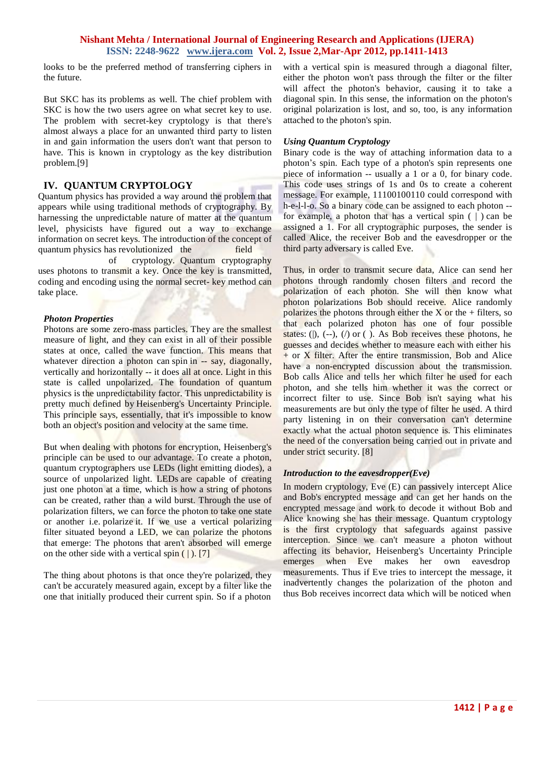## **Nishant Mehta / International Journal of Engineering Research and Applications (IJERA) ISSN: 2248-9622 www.ijera.com Vol. 2, Issue 2,Mar-Apr 2012, pp.1411-1413**

looks to be the preferred method of transferring ciphers in the future.

But SKC has its problems as well. The chief problem with SKC is how the two users agree on what secret key to use. The problem with secret-key cryptology is that there's almost always a place for an unwanted third party to listen in and gain information the users don't want that person to have. This is known in cryptology as the key distribution problem.[9]

## **IV. QUANTUM CRYPTOLOGY**

Quantum physics has provided a way around the problem that appears while using traditional methods of cryptography. By harnessing the unpredictable nature of matter at the quantum level, physicists have figured out a way to exchange information on secret keys. The introduction of the concept of quantum physics has revolutionized the field of cryptology. Quantum cryptography uses photons to transmit a key. Once the key is transmitted, coding and encoding using the normal secret- key method can take place.

## *Photon Properties*

Photons are some zero-mass particles. They are the smallest measure of light, and they can exist in all of their possible states at once, called the wave function. This means that whatever direction a photon can spin in -- say, diagonally, vertically and horizontally -- it does all at once. Light in this state is called unpolarized. The foundation of quantum physics is the unpredictability factor. This unpredictability is pretty much defined by Heisenberg's Uncertainty Principle. This principle says, essentially, that it's impossible to know both an object's position and velocity at the same time.

But when dealing with photons for encryption, Heisenberg's principle can be used to our advantage. To create a photon, quantum cryptographers use LEDs (light emitting diodes), a source of unpolarized light. LEDs are capable of creating just one photon at a time, which is how a string of photons can be created, rather than a wild burst. Through the use of polarization filters, we can force the photon to take one state or another i.e. polarize it. If we use a vertical polarizing filter situated beyond a LED, we can polarize the photons that emerge: The photons that aren't absorbed will emerge on the other side with a vertical spin  $( )$ . [7]

The thing about photons is that once they're polarized, they can't be accurately measured again, except by a filter like the one that initially produced their current spin. So if a photon

with a vertical spin is measured through a diagonal filter, either the photon won't pass through the filter or the filter will affect the photon's behavior, causing it to take a diagonal spin. In this sense, the information on the photon's original polarization is lost, and so, too, is any information attached to the photon's spin.

## *Using Quantum Cryptology*

Binary code is the way of attaching information data to a photon's spin. Each type of a photon's spin represents one piece of information -- usually a 1 or a 0, for binary code. This code uses strings of 1s and 0s to create a coherent message. For example, 11100100110 could correspond with h-e-l-l-o. So a binary code can be assigned to each photon - for example, a photon that has a vertical spin  $( )$  can be assigned a 1. For all cryptographic purposes, the sender is called Alice, the receiver Bob and the eavesdropper or the third party adversary is called Eve.

Thus, in order to transmit secure data, Alice can send her photons through randomly chosen filters and record the polarization of each photon. She will then know what photon polarizations Bob should receive. Alice randomly polarizes the photons through either the  $X$  or the + filters, so that each polarized photon has one of four possible states: (|),  $(-)$ ,  $($ ) or  $($ ). As Bob receives these photons, he guesses and decides whether to measure each with either his  $+$  or X filter. After the entire transmission, Bob and Alice have a non-encrypted discussion about the transmission. Bob calls Alice and tells her which filter he used for each photon, and she tells him whether it was the correct or incorrect filter to use. Since Bob isn't saying what his measurements are but only the type of filter he used. A third party listening in on their conversation can't determine exactly what the actual photon sequence is. This eliminates the need of the conversation being carried out in private and under strict security. [8]

## *Introduction to the eavesdropper(Eve)*

In modern cryptology, Eve (E) can passively intercept Alice and Bob's encrypted message and can get her hands on the encrypted message and work to decode it without Bob and Alice knowing she has their message. Quantum cryptology is the first cryptology that safeguards against passive interception. Since we can't measure a photon without affecting its behavior, Heisenberg's Uncertainty Principle emerges when Eve makes her own eavesdrop measurements. Thus if Eve tries to intercept the message, it inadvertently changes the polarization of the photon and thus Bob receives incorrect data which will be noticed when